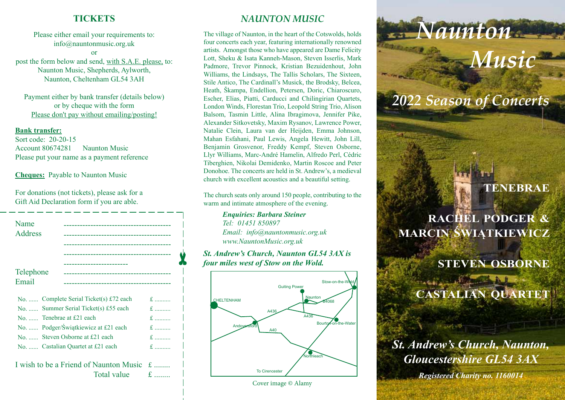### **TICKETS**

Please either email your requirements to: info@nauntonmusic.org.uk

or post the form below and send, with S.A.E. please, to: Naunton Music, Shepherds, Aylworth, Naunton, Cheltenham GL54 3AH

Payment either by bank transfer (details below) or by cheque with the form Please don't pay without emailing/posting!

#### **Bank transfer:**

Sort code: 20-20-15 Account 80674281 Naunton Music Please put your name as a payment reference

#### **Cheques:** Payable to Naunton Music

For donations (not tickets), please ask for a Gift Aid Declaration form if you are able.

| Name<br><b>Address</b> |                                                                  |                |
|------------------------|------------------------------------------------------------------|----------------|
| Telephone<br>Email     | ----------------------------<br>-------------------------------- |                |
|                        | No.  Complete Serial Ticket(s) £72 each                          | $f_{\rm{max}}$ |
|                        | No.  Summer Serial Ticket(s) £55 each                            |                |
|                        | $No.$ Tenebrae at £21 each                                       |                |
|                        | No.  Podger/Świątkiewicz at £21 each                             | $f_{\rm{max}}$ |

✂

No. ...... Steven Osborne at £21 each f ..........

No. ...... Castalian Quartet at £21 each f. ..........

I wish to be a Friend of Naunton Music  $\pm$ Total value  $\qquad \text{f}$  .......

# *NAUNTON MUSIC*

The village of Naunton, in the heart of the Cotswolds, holds four concerts each year, featuring internationally renowned artists. Amongst those who have appeared are Dame Felicity Lott, Sheku & Isata Kanneh-Mason, Steven Isserlis, Mark Padmore, Trevor Pinnock, Kristian Bezuidenhout, John Williams, the Lindsays, The Tallis Scholars, The Sixteen, Stile Antico, The Cardinall's Musick, the Brodsky, Belcea, Heath, Škampa, Endellion, Petersen, Doric, Chiaroscuro, Escher, Elias, Piatti, Carducci and Chilingirian Quartets, London Winds, Florestan Trio, Leopold String Trio, Alison Balsom, Tasmin Little, Alina Ibragimova, Jennifer Pike, Alexander Sitkovetsky, Maxim Rysanov, Lawrence Power, Natalie Clein, Laura van der Heijden, Emma Johnson, Mahan Esfahani, Paul Lewis, Angela Hewitt, John Lill, Benjamin Grosvenor, Freddy Kempf, Steven Osborne, Llyr Williams, Marc-André Hamelin, Alfredo Perl, Cédric Tiberghien, Nikolai Demidenko, Martin Roscoe and Peter Donohoe. The concerts are held in St. Andrew's, a medieval church with excellent acoustics and a beautiful setting.

The church seats only around 150 people, contributing to the warm and intimate atmosphere of the evening.

> *Enquiries: Barbara Steiner Tel: 01451 850897 Email: info@nauntonmusic.org.uk www.NauntonMusic.org.uk*

#### *St. Andrew's Church, Naunton GL54 3AX is four miles west of Stow on the Wold.*



Cover image © Alamy

# *Naunton Music*

# *2022 Season of Concerts*

# **TENEBRAE**

# **RACHEL PODGER & MARCIN ŚWIĄTKIEWICZ**

New York Massers in It

# **STEVEN OSBORNE**

**CASTALIAN QUARTET**

*St. Andrew's Church, Naunton, Gloucestershire GL54 3AX* 

*Registered Charity no. 1160014*